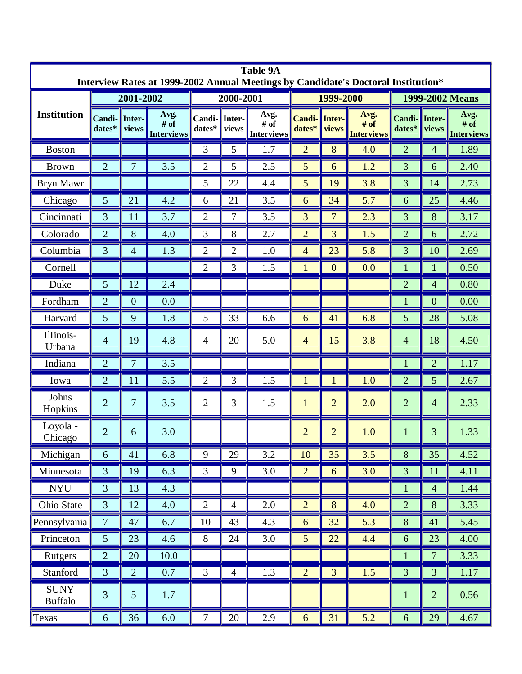| <b>Table 9A</b><br>Interview Rates at 1999-2002 Annual Meetings by Candidate's Doctoral Institution* |                  |                 |                                     |                    |                 |                            |                         |                 |                                   |                  |                 |                                   |
|------------------------------------------------------------------------------------------------------|------------------|-----------------|-------------------------------------|--------------------|-----------------|----------------------------|-------------------------|-----------------|-----------------------------------|------------------|-----------------|-----------------------------------|
| <b>Institution</b>                                                                                   | 2001-2002        |                 |                                     | 2000-2001          |                 |                            | 1999-2000               |                 |                                   | 1999-2002 Means  |                 |                                   |
|                                                                                                      | Candi-<br>dates* | Inter-<br>views | Avg.<br># $of$<br><b>Interviews</b> | Candi-<br>$dates*$ | Inter-<br>views | Avg.<br># of<br>Interviews | <b>Candi-</b><br>dates* | Inter-<br>views | Avg.<br># of<br><b>Interviews</b> | Candi-<br>dates* | Inter-<br>views | Avg.<br># of<br><b>Interviews</b> |
| <b>Boston</b>                                                                                        |                  |                 |                                     | 3                  | 5               | 1.7                        | $\overline{2}$          | 8               | 4.0                               | $\overline{2}$   | $\overline{4}$  | 1.89                              |
| <b>Brown</b>                                                                                         | $\overline{2}$   | $\overline{7}$  | 3.5                                 | $\overline{2}$     | 5               | 2.5                        | 5                       | 6               | 1.2                               | 3                | 6               | 2.40                              |
| <b>Bryn Mawr</b>                                                                                     |                  |                 |                                     | 5                  | 22              | 4.4                        | 5                       | 19              | 3.8                               | 3                | 14              | 2.73                              |
| Chicago                                                                                              | 5                | 21              | 4.2                                 | 6                  | 21              | 3.5                        | 6                       | 34              | 5.7                               | 6                | 25              | 4.46                              |
| Cincinnati                                                                                           | 3                | 11              | 3.7                                 | $\overline{2}$     | $\overline{7}$  | 3.5                        | 3                       | $\overline{7}$  | 2.3                               | 3                | 8               | 3.17                              |
| Colorado                                                                                             | $\overline{2}$   | 8               | 4.0                                 | 3                  | 8               | 2.7                        | $\overline{2}$          | $\overline{3}$  | 1.5                               | $\overline{2}$   | 6               | 2.72                              |
| Columbia                                                                                             | 3                | $\overline{4}$  | 1.3                                 | $\overline{2}$     | $\overline{2}$  | 1.0                        | $\overline{4}$          | 23              | 5.8                               | 3                | 10              | 2.69                              |
| Cornell                                                                                              |                  |                 |                                     | $\overline{2}$     | 3               | 1.5                        | 1                       | $\overline{0}$  | 0.0                               | $\mathbf{1}$     | 1               | 0.50                              |
| Duke                                                                                                 | 5                | 12              | 2.4                                 |                    |                 |                            |                         |                 |                                   | $\overline{2}$   | $\overline{4}$  | 0.80                              |
| Fordham                                                                                              | $\overline{2}$   | $\overline{0}$  | 0.0                                 |                    |                 |                            |                         |                 |                                   |                  | $\overline{0}$  | 0.00                              |
| Harvard                                                                                              | 5                | 9               | 1.8                                 | 5                  | 33              | 6.6                        | 6                       | 41              | 6.8                               | 5                | 28              | 5.08                              |
| Illinois-<br>Urbana                                                                                  | $\overline{4}$   | 19              | 4.8                                 | $\overline{4}$     | 20              | 5.0                        | $\overline{4}$          | 15              | 3.8                               | $\overline{4}$   | 18              | 4.50                              |
| Indiana                                                                                              | $\overline{2}$   | 7               | 3.5                                 |                    |                 |                            |                         |                 |                                   | $\mathbf{1}$     | $\overline{2}$  | 1.17                              |
| Iowa                                                                                                 | $\overline{2}$   | 11              | 5.5                                 | $\overline{2}$     | 3               | 1.5                        | $\mathbf{1}$            | $\mathbf{1}$    | 1.0                               | $\overline{2}$   | 5               | 2.67                              |
| Johns<br>Hopkins                                                                                     | $\overline{2}$   | 7               | 3.5                                 | $\overline{2}$     | 3               | 1.5                        | $\mathbf{1}$            | $\overline{2}$  | 2.0                               | $\overline{2}$   | $\overline{4}$  | 2.33                              |
| Loyola -<br>Chicago                                                                                  | $\overline{2}$   | 6               | 3.0                                 |                    |                 |                            | $\overline{2}$          | $\overline{2}$  | 1.0                               | 1                | 3               | 1.33                              |
| Michigan                                                                                             | 6                | 41              | 6.8                                 | 9                  | 29              | 3.2                        | 10                      | 35              | 3.5                               | 8                | 35              | 4.52                              |
| Minnesota                                                                                            | 3                | 19              | 6.3                                 | 3                  | 9               | 3.0                        | $\overline{2}$          | 6               | 3.0                               | 3                | 11              | 4.11                              |
| <b>NYU</b>                                                                                           | 3                | 13              | 4.3                                 |                    |                 |                            |                         |                 |                                   | $\mathbf{1}$     | $\overline{4}$  | 1.44                              |
| Ohio State                                                                                           | 3                | 12              | 4.0                                 | $\overline{2}$     | $\overline{4}$  | 2.0                        | $\overline{2}$          | 8               | 4.0                               | $\overline{2}$   | 8               | 3.33                              |
| Pennsylvania                                                                                         | $\tau$           | 47              | 6.7                                 | 10                 | 43              | 4.3                        | 6                       | 32              | 5.3                               | 8                | 41              | 5.45                              |
| Princeton                                                                                            | 5                | 23              | 4.6                                 | 8                  | 24              | 3.0                        | $5\overline{)}$         | 22              | 4.4                               | 6                | 23              | 4.00                              |
| Rutgers                                                                                              | $\overline{2}$   | 20              | 10.0                                |                    |                 |                            |                         |                 |                                   |                  | $\overline{7}$  | 3.33                              |
| Stanford                                                                                             | 3                | $\overline{2}$  | 0.7                                 | 3                  | $\overline{4}$  | 1.3                        | $\overline{2}$          | $\overline{3}$  | 1.5                               | 3                | 3               | 1.17                              |
| <b>SUNY</b><br><b>Buffalo</b>                                                                        | 3                | 5               | 1.7                                 |                    |                 |                            |                         |                 |                                   | $\mathbf{1}$     | $\overline{2}$  | 0.56                              |
| Texas                                                                                                | 6                | 36              | 6.0                                 | $\tau$             | 20              | 2.9                        | 6                       | 31              | 5.2                               | 6                | 29              | 4.67                              |